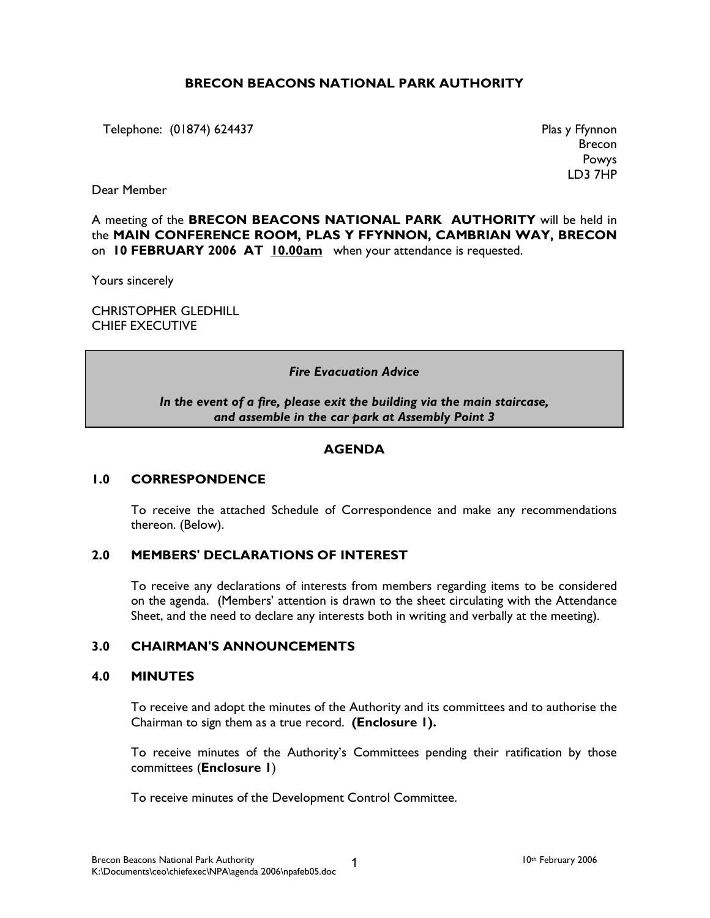# BRECON BEACONS NATIONAL PARK AUTHORITY

Telephone: (01874) 624437 Plas y Ffynnon

Brecon Powys LD3 7HP

Dear Member

A meeting of the BRECON BEACONS NATIONAL PARK AUTHORITY will be held in the MAIN CONFERENCE ROOM, PLAS Y FFYNNON, CAMBRIAN WAY, BRECON on 10 FEBRUARY 2006 AT 10.00am when your attendance is requested.

Yours sincerely

CHRISTOPHER GLEDHILL CHIEF EXECUTIVE

#### Fire Evacuation Advice

In the event of a fire, please exit the building via the main staircase, and assemble in the car park at Assembly Point 3

### **AGENDA**

### 1.0 CORRESPONDENCE

 To receive the attached Schedule of Correspondence and make any recommendations thereon. (Below).

### 2.0 MEMBERS' DECLARATIONS OF INTEREST

 To receive any declarations of interests from members regarding items to be considered on the agenda. (Members' attention is drawn to the sheet circulating with the Attendance Sheet, and the need to declare any interests both in writing and verbally at the meeting).

## 3.0 CHAIRMAN'S ANNOUNCEMENTS

## 4.0 MINUTES

 To receive and adopt the minutes of the Authority and its committees and to authorise the Chairman to sign them as a true record. (Enclosure 1).

 To receive minutes of the Authority's Committees pending their ratification by those committees (Enclosure 1)

To receive minutes of the Development Control Committee.